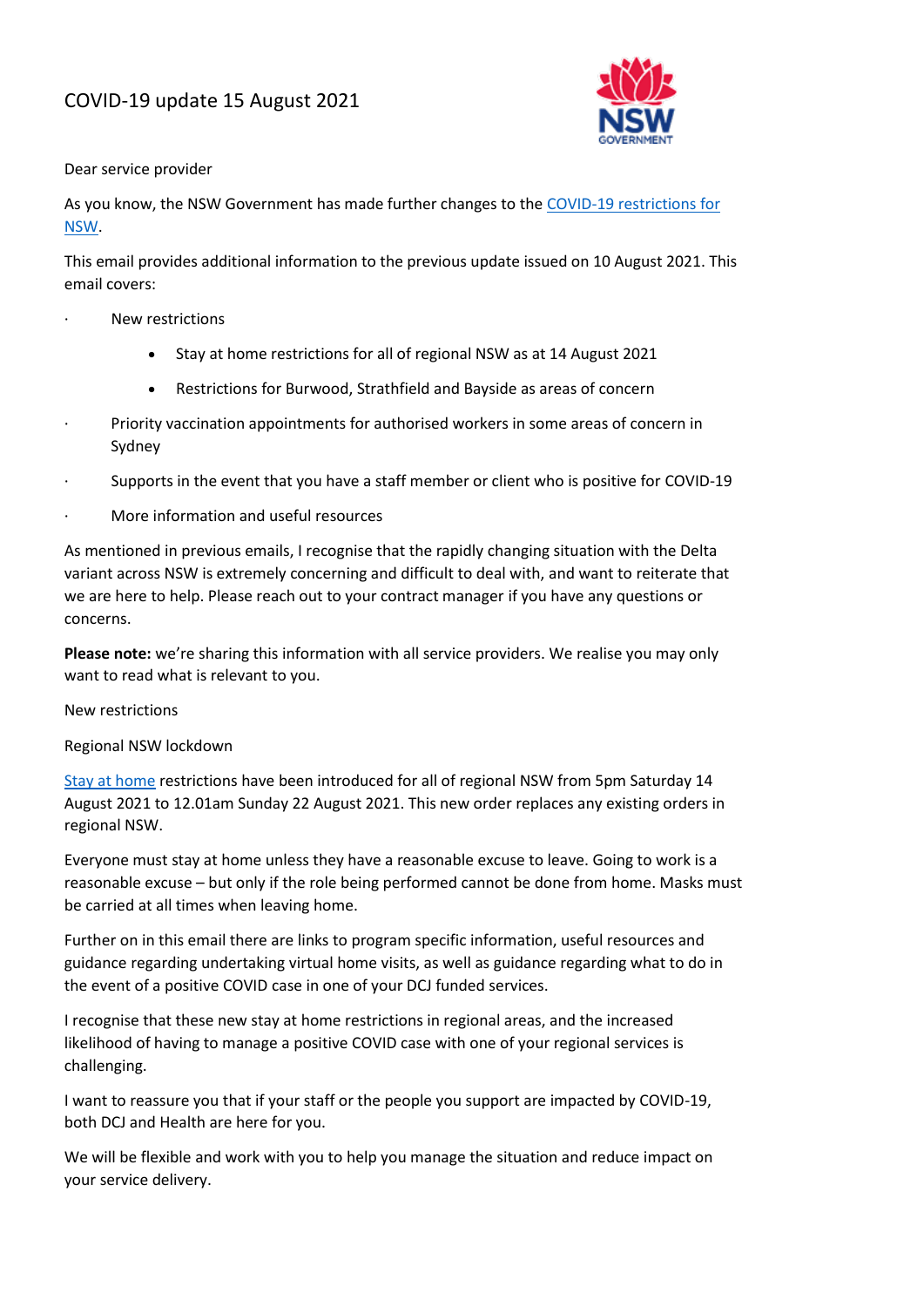# COVID-19 update 15 August 2021



#### Dear service provider

As you know, the NSW Government has made further changes to the [COVID-19 restrictions for](https://www.nsw.gov.au/covid-19/rules)  [NSW.](https://www.nsw.gov.au/covid-19/rules)

This email provides additional information to the previous update issued on 10 August 2021. This email covers:

- · New restrictions
	- Stay at home restrictions for all of regional NSW as at 14 August 2021
	- Restrictions for Burwood, Strathfield and Bayside as areas of concern
- Priority vaccination appointments for authorised workers in some areas of concern in Sydney
- · Supports in the event that you have a staff member or client who is positive for COVID-19
- · More information and useful resources

As mentioned in previous emails, I recognise that the rapidly changing situation with the Delta variant across NSW is extremely concerning and difficult to deal with, and want to reiterate that we are here to help. Please reach out to your contract manager if you have any questions or concerns.

**Please note:** we're sharing this information with all service providers. We realise you may only want to read what is relevant to you.

### New restrictions

Regional NSW lockdown

[Stay at home](https://www.nsw.gov.au/covid-19/rules/affected-regions) restrictions have been introduced for all of regional NSW from 5pm Saturday 14 August 2021 to 12.01am Sunday 22 August 2021. This new order replaces any existing orders in regional NSW.

Everyone must stay at home unless they have a reasonable excuse to leave. Going to work is a reasonable excuse – but only if the role being performed cannot be done from home. Masks must be carried at all times when leaving home.

Further on in this email there are links to program specific information, useful resources and guidance regarding undertaking virtual home visits, as well as guidance regarding what to do in the event of a positive COVID case in one of your DCJ funded services.

I recognise that these new stay at home restrictions in regional areas, and the increased likelihood of having to manage a positive COVID case with one of your regional services is challenging.

I want to reassure you that if your staff or the people you support are impacted by COVID-19, both DCJ and Health are here for you.

We will be flexible and work with you to help you manage the situation and reduce impact on your service delivery.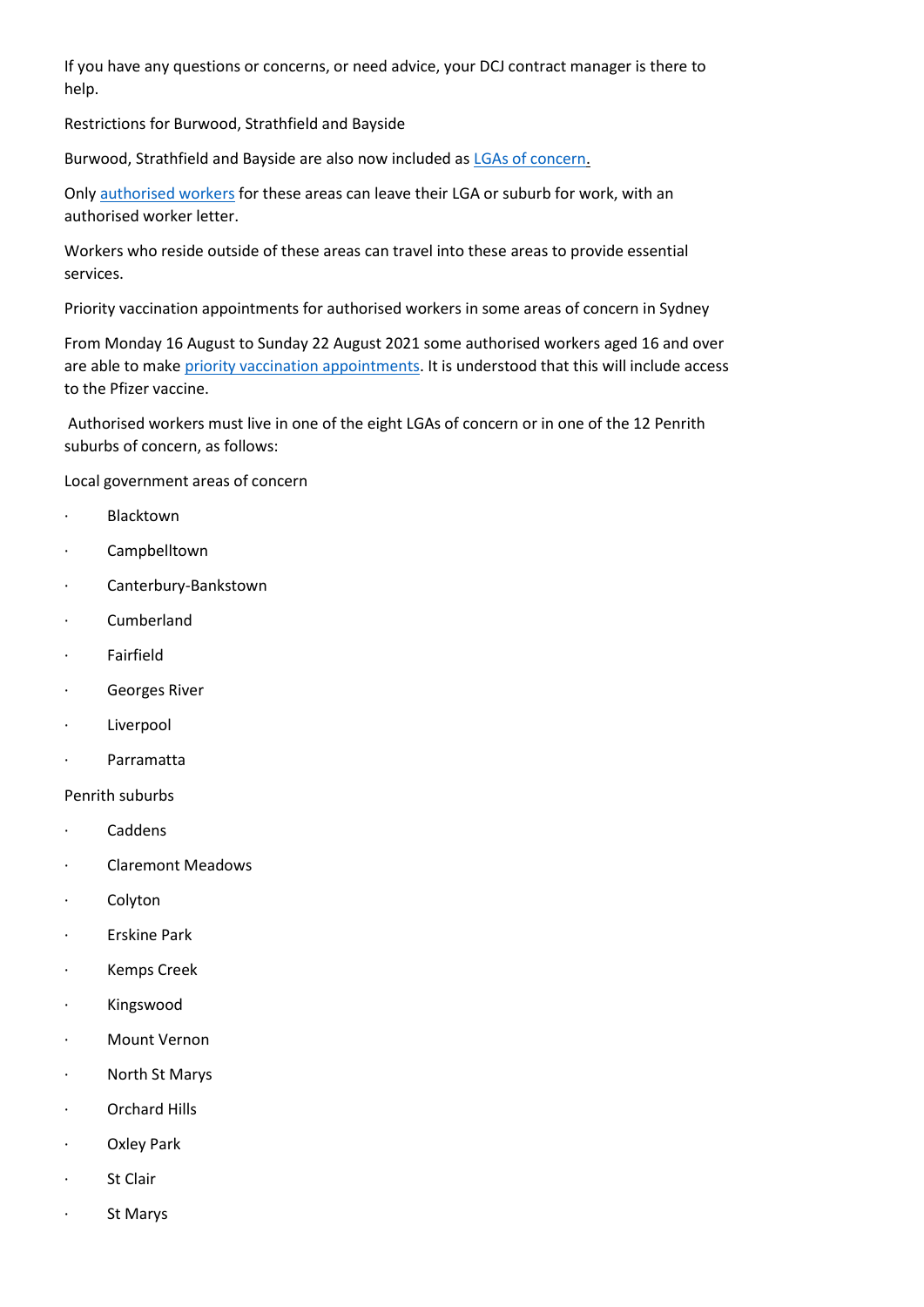If you have any questions or concerns, or need advice, your DCJ contract manager is there to help.

Restrictions for Burwood, Strathfield and Bayside

Burwood, Strathfield and Bayside are also now included as [LGAs of concern.](https://www.nsw.gov.au/covid-19/rules/affected-area#summary-of-restrictions)

Only [authorised workers](https://www.nsw.gov.au/covid-19/rules/authorised-workers) for these areas can leave their LGA or suburb for work, with an authorised worker letter.

Workers who reside outside of these areas can travel into these areas to provide essential services.

Priority vaccination appointments for authorised workers in some areas of concern in Sydney

From Monday 16 August to Sunday 22 August 2021 some authorised workers aged 16 and over are able to make [priority vaccination appointments.](https://www.nsw.gov.au/covid-19/health-and-wellbeing/covid-19-vaccination-nsw/authorised-worker-priority-appointments) It is understood that this will include access to the Pfizer vaccine.

Authorised workers must live in one of the eight LGAs of concern or in one of the 12 Penrith suburbs of concern, as follows:

Local government areas of concern

- · Blacktown
- · Campbelltown
- · Canterbury-Bankstown
- · Cumberland
- · Fairfield
- · Georges River
- · Liverpool
- · Parramatta

### Penrith suburbs

- · Caddens
- · Claremont Meadows
- · Colyton
- · Erskine Park
- · Kemps Creek
- · Kingswood
- · Mount Vernon
- · North St Marys
- · Orchard Hills
- · Oxley Park
- · St Clair
- · St Marys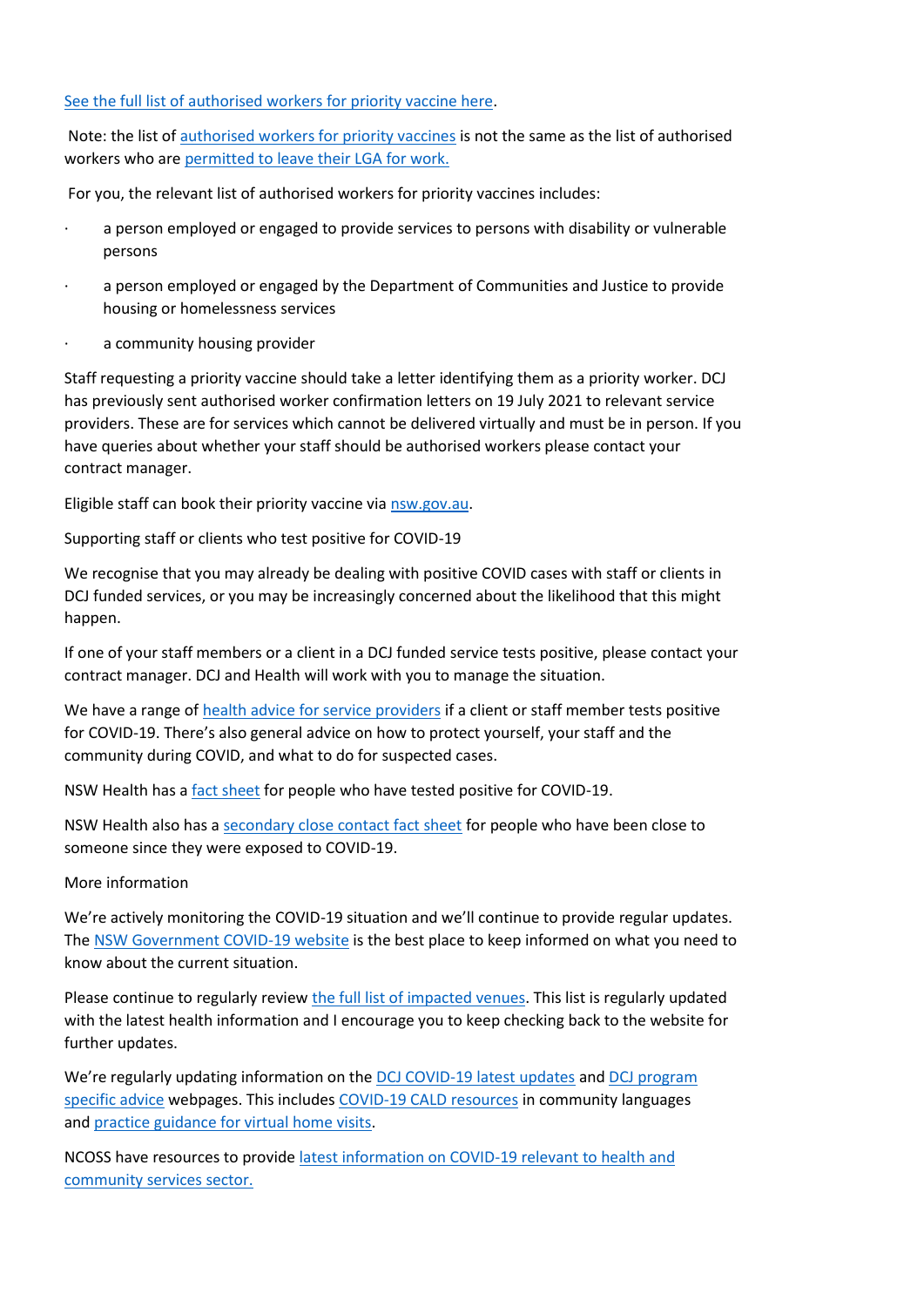## [See the full list of authorised workers for priority vaccine here.](https://www.nsw.gov.au/covid-19/health-and-wellbeing/covid-19-vaccination-nsw/authorised-worker-priority-appointments)

Note: the list of [authorised workers for priority vaccines](https://www.nsw.gov.au/covid-19/health-and-wellbeing/covid-19-vaccination-nsw/authorised-worker-priority-appointments) is not the same as the list of authorised workers who are [permitted to leave their LGA for work.](https://www.nsw.gov.au/covid-19/rules/authorised-workers)

For you, the relevant list of authorised workers for priority vaccines includes:

- a person employed or engaged to provide services to persons with disability or vulnerable persons
- a person employed or engaged by the Department of Communities and Justice to provide housing or homelessness services
- a community housing provider

Staff requesting a priority vaccine should take a letter identifying them as a priority worker. DCJ has previously sent authorised worker confirmation letters on 19 July 2021 to relevant service providers. These are for services which cannot be delivered virtually and must be in person. If you have queries about whether your staff should be authorised workers please contact your contract manager.

Eligible staff can book their priority vaccine via [nsw.gov.au.](https://www.nsw.gov.au/covid-19/health-and-wellbeing/covid-19-vaccination-nsw/authorised-worker-priority-appointments)

Supporting staff or clients who test positive for COVID-19

We recognise that you may already be dealing with positive COVID cases with staff or clients in DCJ funded services, or you may be increasingly concerned about the likelihood that this might happen.

If one of your staff members or a client in a DCJ funded service tests positive, please contact your contract manager. DCJ and Health will work with you to manage the situation.

We have a range of [health advice for service providers](https://www.coronavirus.dcj.nsw.gov.au/service-providers/health-advice-for-service-providers) if a client or staff member tests positive for COVID-19. There's also general advice on how to protect yourself, your staff and the community during COVID, and what to do for suspected cases.

NSW Health has a [fact sheet](https://www.health.nsw.gov.au/Infectious/factsheets/Pages/advice-for-confirmed.aspx) for people who have tested positive for COVID-19.

NSW Health also has a [secondary close contact fact sheet](https://www.health.nsw.gov.au/Infectious/factsheets/Factsheets/secondary-close-contacts.pdf) for people who have been close to someone since they were exposed to COVID-19.

### More information

We're actively monitoring the COVID-19 situation and we'll continue to provide regular updates. The [NSW Government COVID-19 website](https://www.nsw.gov.au/covid-19) is the best place to keep informed on what you need to know about the current situation.

Please continue to regularly review [the full list of impacted venues.](https://www.nsw.gov.au/covid-19/nsw-covid-19-case-locations/exposure-locations) This list is regularly updated with the latest health information and I encourage you to keep checking back to the website for further updates.

We're regularly updating information on the [DCJ COVID-19 latest updates](https://www.coronavirus.dcj.nsw.gov.au/service-providers/latest-updates) and DCJ program [specific advice](https://www.coronavirus.dcj.nsw.gov.au/service-providers/additional-information-for-specific-dcj-programs) webpages. This includes [COVID-19 CALD resources](https://www.coronavirus.dcj.nsw.gov.au/service-providers/latest-updates) in community languages and [practice guidance for virtual home visits.](http://ngolearning.com.au/practice-guidance-for-virtual-home-visits/)

NCOSS have resources to provide [latest information on COVID-19 relevant to health and](https://www.ncoss.org.au/sector-hub/sector-resources/covid-19-community-sector-resource-buttons/)  [community services sector.](https://www.ncoss.org.au/sector-hub/sector-resources/covid-19-community-sector-resource-buttons/)